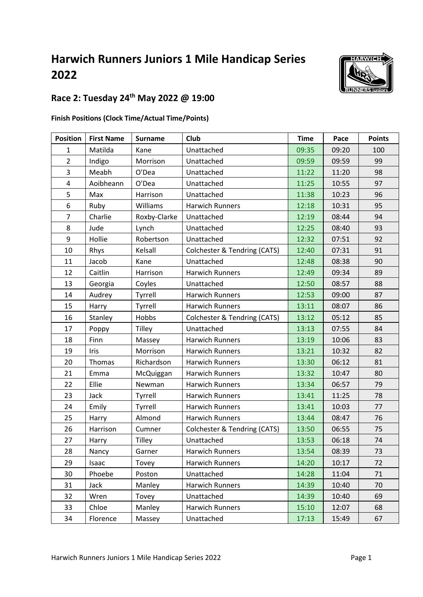# **Harwich Runners Juniors 1 Mile Handicap Series**



## **Race 2: Tuesday 24th May 2022 @ 19:00**

#### **Finish Positions (Clock Time/Actual Time/Points)**

| <b>Position</b> | <b>First Name</b> | <b>Surname</b> | <b>Club</b>                  | <b>Time</b> | Pace  | <b>Points</b> |
|-----------------|-------------------|----------------|------------------------------|-------------|-------|---------------|
| $\mathbf{1}$    | Matilda           | Kane           | Unattached                   | 09:35       | 09:20 | 100           |
| $\overline{2}$  | Indigo            | Morrison       | Unattached                   | 09:59       | 09:59 | 99            |
| $\overline{3}$  | Meabh             | O'Dea          | Unattached                   | 11:22       | 11:20 | 98            |
| $\overline{4}$  | Aoibheann         | O'Dea          | Unattached                   | 11:25       | 10:55 | 97            |
| 5               | Max               | Harrison       | Unattached                   | 11:38       | 10:23 | 96            |
| 6               | Ruby              | Williams       | <b>Harwich Runners</b>       | 12:18       | 10:31 | 95            |
| $\overline{7}$  | Charlie           | Roxby-Clarke   | Unattached                   | 12:19       | 08:44 | 94            |
| 8               | Jude              | Lynch          | Unattached                   | 12:25       | 08:40 | 93            |
| 9               | Hollie            | Robertson      | Unattached                   | 12:32       | 07:51 | 92            |
| 10              | Rhys              | Kelsall        | Colchester & Tendring (CATS) | 12:40       | 07:31 | 91            |
| 11              | Jacob             | Kane           | Unattached                   | 12:48       | 08:38 | 90            |
| 12              | Caitlin           | Harrison       | <b>Harwich Runners</b>       | 12:49       | 09:34 | 89            |
| 13              | Georgia           | Coyles         | Unattached                   | 12:50       | 08:57 | 88            |
| 14              | Audrey            | Tyrrell        | <b>Harwich Runners</b>       | 12:53       | 09:00 | 87            |
| 15              | Harry             | Tyrrell        | <b>Harwich Runners</b>       | 13:11       | 08:07 | 86            |
| 16              | Stanley           | Hobbs          | Colchester & Tendring (CATS) | 13:12       | 05:12 | 85            |
| 17              | Poppy             | Tilley         | Unattached                   | 13:13       | 07:55 | 84            |
| 18              | Finn              | Massey         | Harwich Runners              | 13:19       | 10:06 | 83            |
| 19              | Iris              | Morrison       | <b>Harwich Runners</b>       | 13:21       | 10:32 | 82            |
| 20              | Thomas            | Richardson     | <b>Harwich Runners</b>       | 13:30       | 06:12 | 81            |
| 21              | Emma              | McQuiggan      | Harwich Runners              | 13:32       | 10:47 | 80            |
| 22              | Ellie             | Newman         | <b>Harwich Runners</b>       | 13:34       | 06:57 | 79            |
| 23              | Jack              | Tyrrell        | <b>Harwich Runners</b>       | 13:41       | 11:25 | 78            |
| 24              | Emily             | Tyrrell        | <b>Harwich Runners</b>       | 13:41       | 10:03 | 77            |
| 25              | Harry             | Almond         | <b>Harwich Runners</b>       | 13:44       | 08:47 | 76            |
| 26              | Harrison          | Cumner         | Colchester & Tendring (CATS) | 13:50       | 06:55 | 75            |
| 27              | Harry             | Tilley         | Unattached                   | 13:53       | 06:18 | 74            |
| 28              | Nancy             | Garner         | Harwich Runners              | 13:54       | 08:39 | 73            |
| 29              | Isaac             | Tovey          | <b>Harwich Runners</b>       | 14:20       | 10:17 | 72            |
| 30              | Phoebe            | Poston         | Unattached                   | 14:28       | 11:04 | 71            |
| 31              | Jack              | Manley         | Harwich Runners              | 14:39       | 10:40 | 70            |
| 32              | Wren              | Tovey          | Unattached                   | 14:39       | 10:40 | 69            |
| 33              | Chloe             | Manley         | Harwich Runners              | 15:10       | 12:07 | 68            |
| 34              | Florence          | Massey         | Unattached                   | 17:13       | 15:49 | 67            |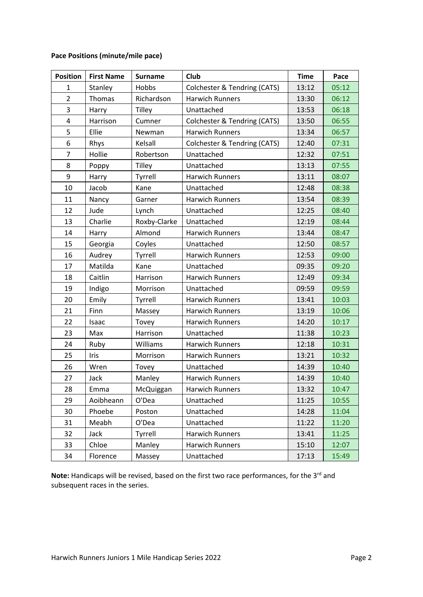#### **Pace Positions (minute/mile pace)**

| <b>Position</b> | <b>First Name</b> | <b>Surname</b> | Club                         | <b>Time</b> | Pace  |
|-----------------|-------------------|----------------|------------------------------|-------------|-------|
| $\mathbf{1}$    | Stanley           | Hobbs          | Colchester & Tendring (CATS) | 13:12       | 05:12 |
| $\overline{2}$  | Thomas            | Richardson     | <b>Harwich Runners</b>       | 13:30       | 06:12 |
| 3               | Harry             | <b>Tilley</b>  | Unattached                   | 13:53       | 06:18 |
| 4               | Harrison          | Cumner         | Colchester & Tendring (CATS) | 13:50       | 06:55 |
| 5               | Ellie             | Newman         | <b>Harwich Runners</b>       | 13:34       | 06:57 |
| 6               | Rhys              | Kelsall        | Colchester & Tendring (CATS) | 12:40       | 07:31 |
| $\overline{7}$  | Hollie            | Robertson      | Unattached                   | 12:32       | 07:51 |
| 8               | Poppy             | <b>Tilley</b>  | Unattached                   | 13:13       | 07:55 |
| 9               | Harry             | Tyrrell        | <b>Harwich Runners</b>       | 13:11       | 08:07 |
| 10              | Jacob             | Kane           | Unattached                   | 12:48       | 08:38 |
| 11              | Nancy             | Garner         | <b>Harwich Runners</b>       | 13:54       | 08:39 |
| 12              | Jude              | Lynch          | Unattached                   | 12:25       | 08:40 |
| 13              | Charlie           | Roxby-Clarke   | Unattached                   | 12:19       | 08:44 |
| 14              | Harry             | Almond         | <b>Harwich Runners</b>       | 13:44       | 08:47 |
| 15              | Georgia           | Coyles         | Unattached                   | 12:50       | 08:57 |
| 16              | Audrey            | Tyrrell        | <b>Harwich Runners</b>       | 12:53       | 09:00 |
| 17              | Matilda           | Kane           | Unattached                   | 09:35       | 09:20 |
| 18              | Caitlin           | Harrison       | <b>Harwich Runners</b>       | 12:49       | 09:34 |
| 19              | Indigo            | Morrison       | Unattached                   | 09:59       | 09:59 |
| 20              | Emily             | Tyrrell        | <b>Harwich Runners</b>       | 13:41       | 10:03 |
| 21              | Finn              | Massey         | Harwich Runners              | 13:19       | 10:06 |
| 22              | Isaac             | Tovey          | Harwich Runners              | 14:20       | 10:17 |
| 23              | Max               | Harrison       | Unattached                   | 11:38       | 10:23 |
| 24              | Ruby              | Williams       | <b>Harwich Runners</b>       | 12:18       | 10:31 |
| 25              | Iris              | Morrison       | Harwich Runners              | 13:21       | 10:32 |
| 26              | Wren              | Tovey          | Unattached                   | 14:39       | 10:40 |
| 27              | Jack              | Manley         | Harwich Runners              | 14:39       | 10:40 |
| 28              | Emma              | McQuiggan      | Harwich Runners              | 13:32       | 10:47 |
| 29              | Aoibheann         | O'Dea          | Unattached                   | 11:25       | 10:55 |
| 30              | Phoebe            | Poston         | Unattached                   | 14:28       | 11:04 |
| 31              | Meabh             | O'Dea          | Unattached                   | 11:22       | 11:20 |
| 32              | Jack              | Tyrrell        | Harwich Runners              | 13:41       | 11:25 |
| 33              | Chloe             | Manley         | Harwich Runners              | 15:10       | 12:07 |
| 34              | Florence          | Massey         | Unattached                   | 17:13       | 15:49 |

Note: Handicaps will be revised, based on the first two race performances, for the 3<sup>rd</sup> and subsequent races in the series.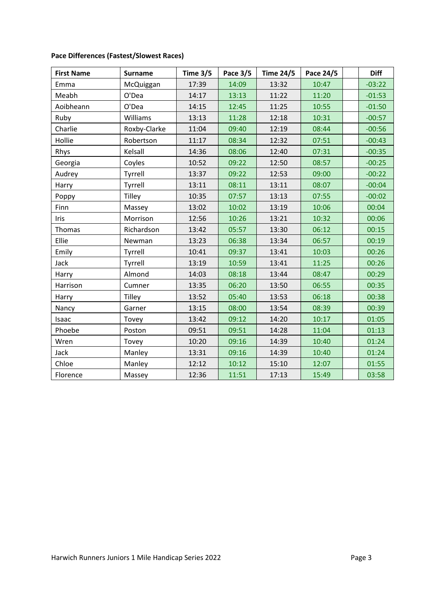| <b>First Name</b> | <b>Surname</b> | Time $3/5$ | Pace 3/5 | <b>Time 24/5</b> | Pace 24/5 | <b>Diff</b> |
|-------------------|----------------|------------|----------|------------------|-----------|-------------|
| Emma              | McQuiggan      | 17:39      | 14:09    | 13:32            | 10:47     | $-03:22$    |
| Meabh             | O'Dea          | 14:17      | 13:13    | 11:22            | 11:20     | $-01:53$    |
| Aoibheann         | O'Dea          | 14:15      | 12:45    | 11:25            | 10:55     | $-01:50$    |
| Ruby              | Williams       | 13:13      | 11:28    | 12:18            | 10:31     | $-00:57$    |
| Charlie           | Roxby-Clarke   | 11:04      | 09:40    | 12:19            | 08:44     | $-00:56$    |
| Hollie            | Robertson      | 11:17      | 08:34    | 12:32            | 07:51     | $-00:43$    |
| Rhys              | Kelsall        | 14:36      | 08:06    | 12:40            | 07:31     | $-00:35$    |
| Georgia           | Coyles         | 10:52      | 09:22    | 12:50            | 08:57     | $-00:25$    |
| Audrey            | Tyrrell        | 13:37      | 09:22    | 12:53            | 09:00     | $-00:22$    |
| Harry             | Tyrrell        | 13:11      | 08:11    | 13:11            | 08:07     | $-00:04$    |
| Poppy             | Tilley         | 10:35      | 07:57    | 13:13            | 07:55     | $-00:02$    |
| Finn              | Massey         | 13:02      | 10:02    | 13:19            | 10:06     | 00:04       |
| <b>Iris</b>       | Morrison       | 12:56      | 10:26    | 13:21            | 10:32     | 00:06       |
| Thomas            | Richardson     | 13:42      | 05:57    | 13:30            | 06:12     | 00:15       |
| Ellie             | Newman         | 13:23      | 06:38    | 13:34            | 06:57     | 00:19       |
| Emily             | Tyrrell        | 10:41      | 09:37    | 13:41            | 10:03     | 00:26       |
| Jack              | Tyrrell        | 13:19      | 10:59    | 13:41            | 11:25     | 00:26       |
| Harry             | Almond         | 14:03      | 08:18    | 13:44            | 08:47     | 00:29       |
| Harrison          | Cumner         | 13:35      | 06:20    | 13:50            | 06:55     | 00:35       |
| Harry             | Tilley         | 13:52      | 05:40    | 13:53            | 06:18     | 00:38       |
| Nancy             | Garner         | 13:15      | 08:00    | 13:54            | 08:39     | 00:39       |
| Isaac             | Tovey          | 13:42      | 09:12    | 14:20            | 10:17     | 01:05       |
| Phoebe            | Poston         | 09:51      | 09:51    | 14:28            | 11:04     | 01:13       |
| Wren              | Tovey          | 10:20      | 09:16    | 14:39            | 10:40     | 01:24       |
| Jack              | Manley         | 13:31      | 09:16    | 14:39            | 10:40     | 01:24       |
| Chloe             | Manley         | 12:12      | 10:12    | 15:10            | 12:07     | 01:55       |
| Florence          | Massey         | 12:36      | 11:51    | 17:13            | 15:49     | 03:58       |

### **Pace Differences (Fastest/Slowest Races)**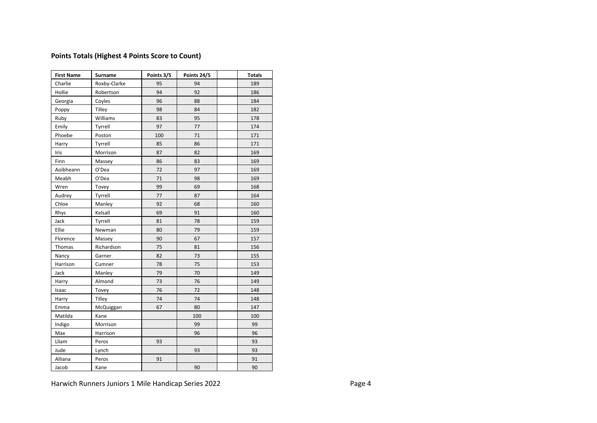#### **Points Totals (Highest 4 Points Score to Count)**

| <b>First Name</b> | Surname      | Points 3/5 | Points 24/5 | <b>Totals</b> |
|-------------------|--------------|------------|-------------|---------------|
| Charlie           | Roxby-Clarke | 95         | 94          | 189           |
| Hollie            | Robertson    | 94         | 92          | 186           |
| Georgia           | Coyles       | 96         | 88          | 184           |
| Poppy             | Tilley       | 98         | 84          | 182           |
| Ruby              | Williams     | 83         | 95          | 178           |
| Emily             | Tyrrell      | 97         | 77          | 174           |
| Phoebe            | Poston       | 100        | 71          | 171           |
| Harry             | Tyrrell      | 85         | 86          | 171           |
| Iris              | Morrison     | 87         | 82          | 169           |
| Finn              | Massey       | 86         | 83          | 169           |
| Aoibheann         | O'Dea        | 72         | 97          | 169           |
| Meabh             | O'Dea        | 71         | 98          | 169           |
| Wren              | Tovey        | 99         | 69          | 168           |
| Audrey            | Tyrrell      | 77         | 87          | 164           |
| Chloe             | Manley       | 92         | 68          | 160           |
| Rhys              | Kelsall      | 69         | 91          | 160           |
| Jack              | Tyrrell      | 81         | 78          | 159           |
| Ellie             | Newman       | 80         | 79          | 159           |
| Florence          | Massey       | 90         | 67          | 157           |
| Thomas            | Richardson   | 75         | 81          | 156           |
| Nancy             | Garner       | 82         | 73          | 155           |
| Harrison          | Cumner       | 78         | 75          | 153           |
| Jack              | Manley       | 79         | 70          | 149           |
| Harry             | Almond       | 73         | 76          | 149           |
| Isaac             | Tovey        | 76         | 72          | 148           |
| Harry             | Tilley       | 74         | 74          | 148           |
| Emma              | McQuiggan    | 67         | 80          | 147           |
| Matilda           | Kane         |            | 100         | 100           |
| Indigo            | Morrison     |            | 99          | 99            |
| Max               | Harrison     |            | 96          | 96            |
| Lliam             | Peros        | 93         |             | 93            |
| Jude              | Lynch        |            | 93          | 93            |
| Alliana           | Peros        | 91         |             | 91            |
| Jacob             | Kane         |            | 90          | 90            |

Harwich Runners Juniors 1 Mile Handicap Series 2022 **Page 4** Page 4